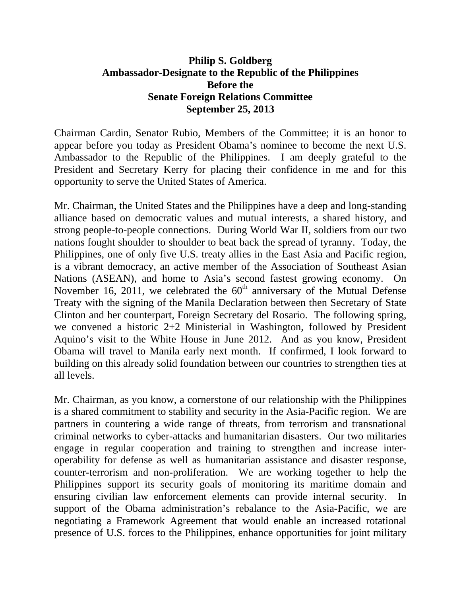## **Philip S. Goldberg Ambassador-Designate to the Republic of the Philippines Before the Senate Foreign Relations Committee September 25, 2013**

Chairman Cardin, Senator Rubio, Members of the Committee; it is an honor to appear before you today as President Obama's nominee to become the next U.S. Ambassador to the Republic of the Philippines. I am deeply grateful to the President and Secretary Kerry for placing their confidence in me and for this opportunity to serve the United States of America.

Mr. Chairman, the United States and the Philippines have a deep and long-standing alliance based on democratic values and mutual interests, a shared history, and strong people-to-people connections. During World War II, soldiers from our two nations fought shoulder to shoulder to beat back the spread of tyranny. Today, the Philippines, one of only five U.S. treaty allies in the East Asia and Pacific region, is a vibrant democracy, an active member of the Association of Southeast Asian Nations (ASEAN), and home to Asia's second fastest growing economy. On November 16, 2011, we celebrated the  $60<sup>th</sup>$  anniversary of the Mutual Defense Treaty with the signing of the Manila Declaration between then Secretary of State Clinton and her counterpart, Foreign Secretary del Rosario. The following spring, we convened a historic 2+2 Ministerial in Washington, followed by President Aquino's visit to the White House in June 2012. And as you know, President Obama will travel to Manila early next month. If confirmed, I look forward to building on this already solid foundation between our countries to strengthen ties at all levels.

Mr. Chairman, as you know, a cornerstone of our relationship with the Philippines is a shared commitment to stability and security in the Asia-Pacific region. We are partners in countering a wide range of threats, from terrorism and transnational criminal networks to cyber-attacks and humanitarian disasters. Our two militaries engage in regular cooperation and training to strengthen and increase interoperability for defense as well as humanitarian assistance and disaster response, counter-terrorism and non-proliferation. We are working together to help the Philippines support its security goals of monitoring its maritime domain and ensuring civilian law enforcement elements can provide internal security. In support of the Obama administration's rebalance to the Asia-Pacific, we are negotiating a Framework Agreement that would enable an increased rotational presence of U.S. forces to the Philippines, enhance opportunities for joint military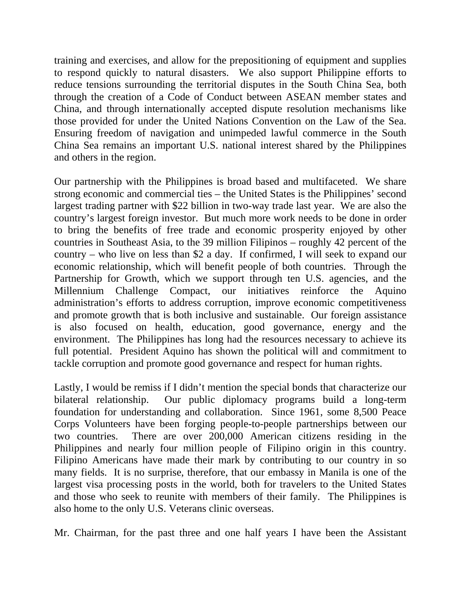training and exercises, and allow for the prepositioning of equipment and supplies to respond quickly to natural disasters. We also support Philippine efforts to reduce tensions surrounding the territorial disputes in the South China Sea, both through the creation of a Code of Conduct between ASEAN member states and China, and through internationally accepted dispute resolution mechanisms like those provided for under the United Nations Convention on the Law of the Sea. Ensuring freedom of navigation and unimpeded lawful commerce in the South China Sea remains an important U.S. national interest shared by the Philippines and others in the region.

Our partnership with the Philippines is broad based and multifaceted. We share strong economic and commercial ties – the United States is the Philippines' second largest trading partner with \$22 billion in two-way trade last year. We are also the country's largest foreign investor. But much more work needs to be done in order to bring the benefits of free trade and economic prosperity enjoyed by other countries in Southeast Asia, to the 39 million Filipinos – roughly 42 percent of the country – who live on less than \$2 a day. If confirmed, I will seek to expand our economic relationship, which will benefit people of both countries. Through the Partnership for Growth, which we support through ten U.S. agencies, and the Millennium Challenge Compact, our initiatives reinforce the Aquino administration's efforts to address corruption, improve economic competitiveness and promote growth that is both inclusive and sustainable. Our foreign assistance is also focused on health, education, good governance, energy and the environment. The Philippines has long had the resources necessary to achieve its full potential. President Aquino has shown the political will and commitment to tackle corruption and promote good governance and respect for human rights.

Lastly, I would be remiss if I didn't mention the special bonds that characterize our bilateral relationship. Our public diplomacy programs build a long-term foundation for understanding and collaboration. Since 1961, some 8,500 Peace Corps Volunteers have been forging people-to-people partnerships between our two countries. There are over 200,000 American citizens residing in the Philippines and nearly four million people of Filipino origin in this country. Filipino Americans have made their mark by contributing to our country in so many fields. It is no surprise, therefore, that our embassy in Manila is one of the largest visa processing posts in the world, both for travelers to the United States and those who seek to reunite with members of their family. The Philippines is also home to the only U.S. Veterans clinic overseas.

Mr. Chairman, for the past three and one half years I have been the Assistant